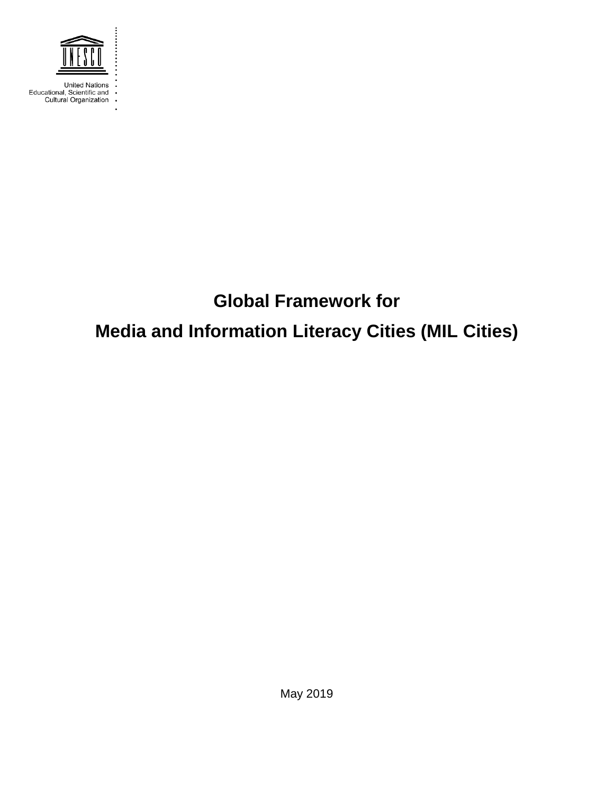

**United Nations** Educational, Scientific and<br>Cultural Organization

# **Global Framework for Media and Information Literacy Cities (MIL Cities)**

May 2019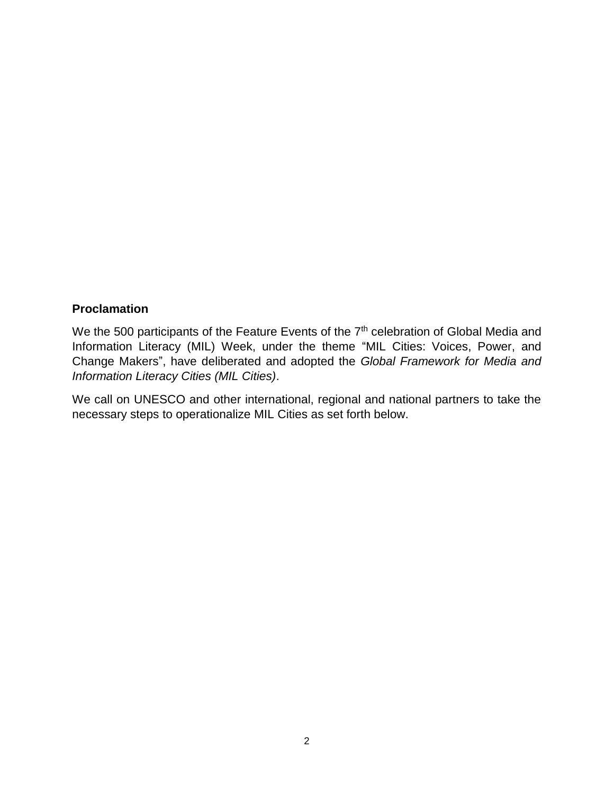#### **Proclamation**

We the 500 participants of the Feature Events of the 7<sup>th</sup> celebration of Global Media and Information Literacy (MIL) Week, under the theme "MIL Cities: Voices, Power, and Change Makers", have deliberated and adopted the *Global Framework for Media and Information Literacy Cities (MIL Cities)*.

We call on UNESCO and other international, regional and national partners to take the necessary steps to operationalize MIL Cities as set forth below.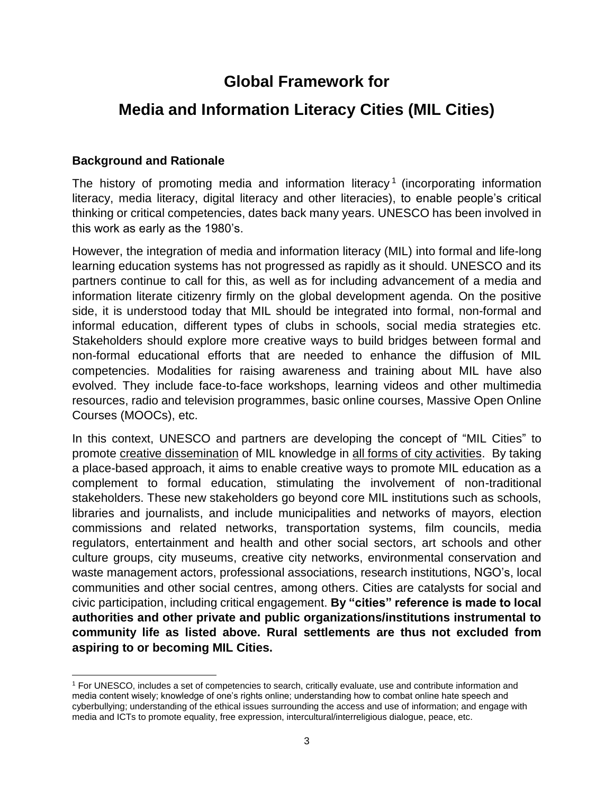## **Global Framework for**

## **Media and Information Literacy Cities (MIL Cities)**

### **Background and Rationale**

 $\overline{a}$ 

The history of promoting media and information literacy<sup>1</sup> (incorporating information literacy, media literacy, digital literacy and other literacies), to enable people's critical thinking or critical competencies, dates back many years. UNESCO has been involved in this work as early as the 1980's.

However, the integration of media and information literacy (MIL) into formal and life-long learning education systems has not progressed as rapidly as it should. UNESCO and its partners continue to call for this, as well as for including advancement of a media and information literate citizenry firmly on the global development agenda. On the positive side, it is understood today that MIL should be integrated into formal, non-formal and informal education, different types of clubs in schools, social media strategies etc. Stakeholders should explore more creative ways to build bridges between formal and non-formal educational efforts that are needed to enhance the diffusion of MIL competencies. Modalities for raising awareness and training about MIL have also evolved. They include face-to-face workshops, learning videos and other multimedia resources, radio and television programmes, basic online courses, Massive Open Online Courses (MOOCs), etc.

In this context, UNESCO and partners are developing the concept of "MIL Cities" to promote creative dissemination of MIL knowledge in all forms of city activities. By taking a place-based approach, it aims to enable creative ways to promote MIL education as a complement to formal education, stimulating the involvement of non-traditional stakeholders. These new stakeholders go beyond core MIL institutions such as schools, libraries and journalists, and include municipalities and networks of mayors, election commissions and related networks, transportation systems, film councils, media regulators, entertainment and health and other social sectors, art schools and other culture groups, city museums, creative city networks, environmental conservation and waste management actors, professional associations, research institutions, NGO's, local communities and other social centres, among others. Cities are catalysts for social and civic participation, including critical engagement. **By "cities" reference is made to local authorities and other private and public organizations/institutions instrumental to community life as listed above. Rural settlements are thus not excluded from aspiring to or becoming MIL Cities.** 

<sup>1</sup> For UNESCO, includes a set of competencies to search, critically evaluate, use and contribute information and media content wisely; knowledge of one's rights online; understanding how to combat online hate speech and cyberbullying; understanding of the ethical issues surrounding the access and use of information; and engage with media and ICTs to promote equality, free expression, intercultural/interreligious dialogue, peace, etc.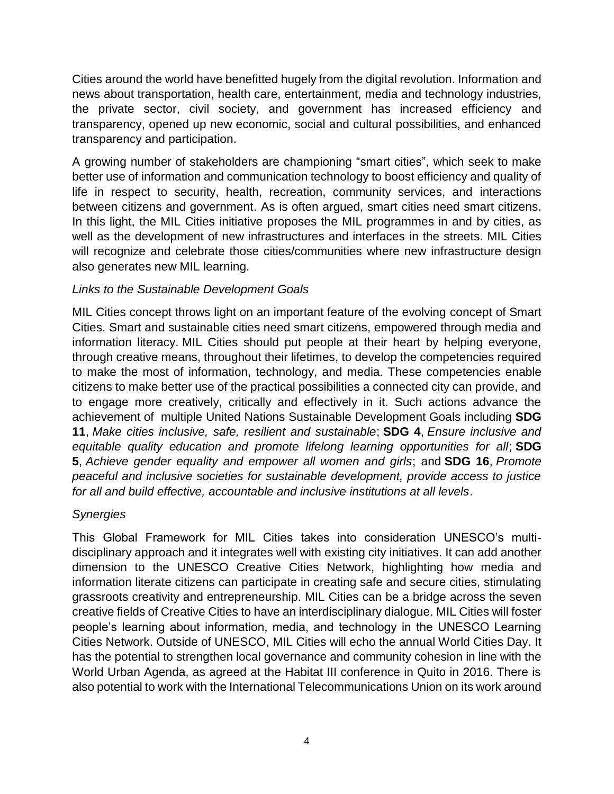Cities around the world have benefitted hugely from the digital revolution. Information and news about transportation, health care, entertainment, media and technology industries, the private sector, civil society, and government has increased efficiency and transparency, opened up new economic, social and cultural possibilities, and enhanced transparency and participation.

A growing number of stakeholders are championing "smart cities", which seek to make better use of information and communication technology to boost efficiency and quality of life in respect to security, health, recreation, community services, and interactions between citizens and government. As is often argued, smart cities need smart citizens. In this light, the MIL Cities initiative proposes the MIL programmes in and by cities, as well as the development of new infrastructures and interfaces in the streets. MIL Cities will recognize and celebrate those cities/communities where new infrastructure design also generates new MIL learning.

#### *Links to the Sustainable Development Goals*

MIL Cities concept throws light on an important feature of the evolving concept of Smart Cities. Smart and sustainable cities need smart citizens, empowered through media and information literacy. MIL Cities should put people at their heart by helping everyone, through creative means, throughout their lifetimes, to develop the competencies required to make the most of information, technology, and media. These competencies enable citizens to make better use of the practical possibilities a connected city can provide, and to engage more creatively, critically and effectively in it. Such actions advance the achievement of multiple United Nations Sustainable Development Goals including **SDG 11**, *Make cities inclusive, safe, resilient and sustainable*; **SDG 4**, *Ensure inclusive and equitable quality education and promote lifelong learning opportunities for all*; **SDG 5**, *Achieve gender equality and empower all women and girls*; and **SDG 16**, *Promote peaceful and inclusive societies for sustainable development, provide access to justice for all and build effective, accountable and inclusive institutions at all levels*.

#### *Synergies*

This Global Framework for MIL Cities takes into consideration UNESCO's multidisciplinary approach and it integrates well with existing city initiatives. It can add another dimension to the UNESCO Creative Cities Network, highlighting how media and information literate citizens can participate in creating safe and secure cities, stimulating grassroots creativity and entrepreneurship. MIL Cities can be a bridge across the seven creative fields of Creative Cities to have an interdisciplinary dialogue. MIL Cities will foster people's learning about information, media, and technology in the UNESCO Learning Cities Network. Outside of UNESCO, MIL Cities will echo the annual World Cities Day. It has the potential to strengthen local governance and community cohesion in line with the World Urban Agenda, as agreed at the Habitat III conference in Quito in 2016. There is also potential to work with the International Telecommunications Union on its work around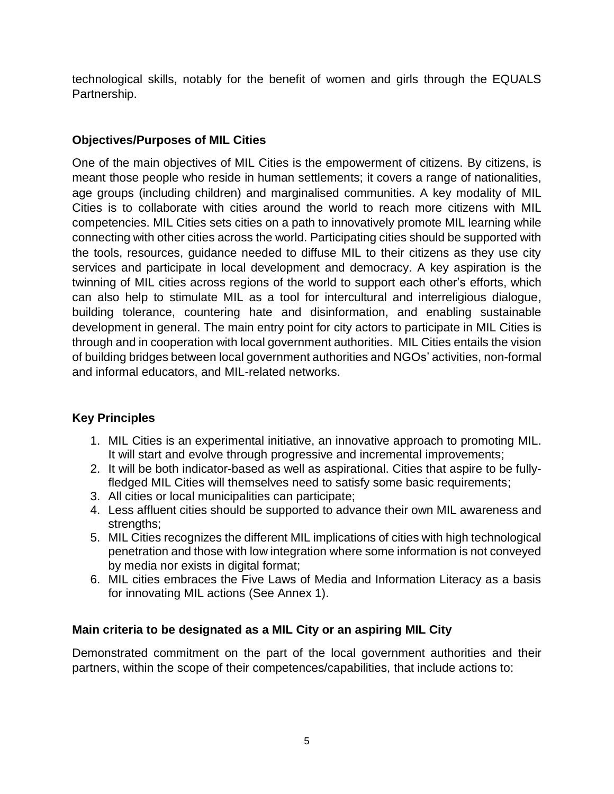technological skills, notably for the benefit of women and girls through the EQUALS Partnership.

### **Objectives/Purposes of MIL Cities**

One of the main objectives of MIL Cities is the empowerment of citizens. By citizens, is meant those people who reside in human settlements; it covers a range of nationalities, age groups (including children) and marginalised communities. A key modality of MIL Cities is to collaborate with cities around the world to reach more citizens with MIL competencies. MIL Cities sets cities on a path to innovatively promote MIL learning while connecting with other cities across the world. Participating cities should be supported with the tools, resources, guidance needed to diffuse MIL to their citizens as they use city services and participate in local development and democracy. A key aspiration is the twinning of MIL cities across regions of the world to support each other's efforts, which can also help to stimulate MIL as a tool for intercultural and interreligious dialogue, building tolerance, countering hate and disinformation, and enabling sustainable development in general. The main entry point for city actors to participate in MIL Cities is through and in cooperation with local government authorities. MIL Cities entails the vision of building bridges between local government authorities and NGOs' activities, non-formal and informal educators, and MIL-related networks.

### **Key Principles**

- 1. MIL Cities is an experimental initiative, an innovative approach to promoting MIL. It will start and evolve through progressive and incremental improvements;
- 2. It will be both indicator-based as well as aspirational. Cities that aspire to be fullyfledged MIL Cities will themselves need to satisfy some basic requirements;
- 3. All cities or local municipalities can participate;
- 4. Less affluent cities should be supported to advance their own MIL awareness and strengths;
- 5. MIL Cities recognizes the different MIL implications of cities with high technological penetration and those with low integration where some information is not conveyed by media nor exists in digital format;
- 6. MIL cities embraces the Five Laws of Media and Information Literacy as a basis for innovating MIL actions (See Annex 1).

#### **Main criteria to be designated as a MIL City or an aspiring MIL City**

Demonstrated commitment on the part of the local government authorities and their partners, within the scope of their competences/capabilities, that include actions to: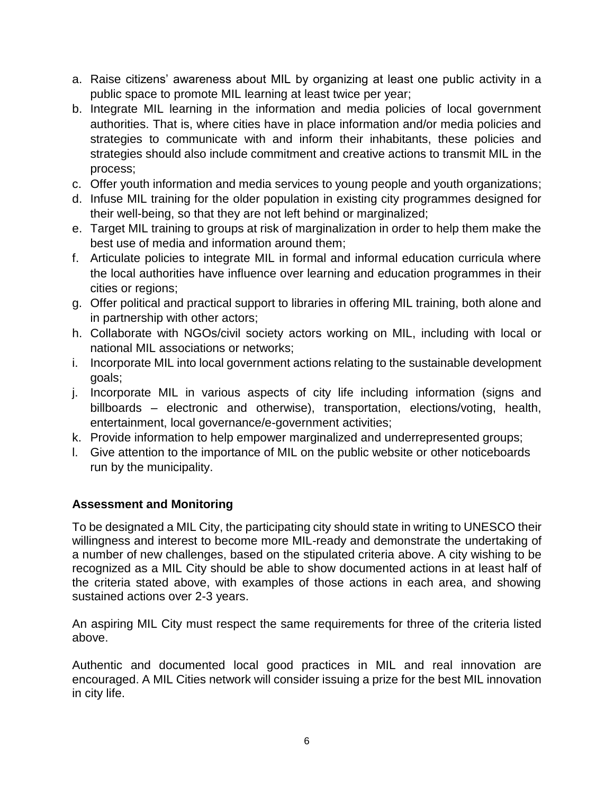- a. Raise citizens' awareness about MIL by organizing at least one public activity in a public space to promote MIL learning at least twice per year;
- b. Integrate MIL learning in the information and media policies of local government authorities. That is, where cities have in place information and/or media policies and strategies to communicate with and inform their inhabitants, these policies and strategies should also include commitment and creative actions to transmit MIL in the process;
- c. Offer youth information and media services to young people and youth organizations;
- d. Infuse MIL training for the older population in existing city programmes designed for their well-being, so that they are not left behind or marginalized;
- e. Target MIL training to groups at risk of marginalization in order to help them make the best use of media and information around them;
- f. Articulate policies to integrate MIL in formal and informal education curricula where the local authorities have influence over learning and education programmes in their cities or regions;
- g. Offer political and practical support to libraries in offering MIL training, both alone and in partnership with other actors;
- h. Collaborate with NGOs/civil society actors working on MIL, including with local or national MIL associations or networks;
- i. Incorporate MIL into local government actions relating to the sustainable development goals;
- j. Incorporate MIL in various aspects of city life including information (signs and billboards – electronic and otherwise), transportation, elections/voting, health, entertainment, local governance/e-government activities;
- k. Provide information to help empower marginalized and underrepresented groups;
- l. Give attention to the importance of MIL on the public website or other noticeboards run by the municipality.

#### **Assessment and Monitoring**

To be designated a MIL City, the participating city should state in writing to UNESCO their willingness and interest to become more MIL-ready and demonstrate the undertaking of a number of new challenges, based on the stipulated criteria above. A city wishing to be recognized as a MIL City should be able to show documented actions in at least half of the criteria stated above, with examples of those actions in each area, and showing sustained actions over 2-3 years.

An aspiring MIL City must respect the same requirements for three of the criteria listed above.

Authentic and documented local good practices in MIL and real innovation are encouraged. A MIL Cities network will consider issuing a prize for the best MIL innovation in city life.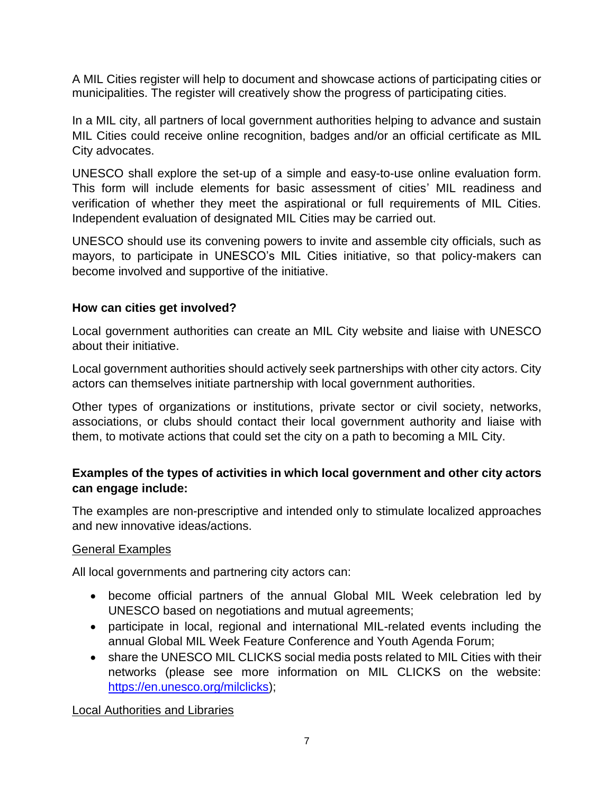A MIL Cities register will help to document and showcase actions of participating cities or municipalities. The register will creatively show the progress of participating cities.

In a MIL city, all partners of local government authorities helping to advance and sustain MIL Cities could receive online recognition, badges and/or an official certificate as MIL City advocates.

UNESCO shall explore the set-up of a simple and easy-to-use online evaluation form. This form will include elements for basic assessment of cities' MIL readiness and verification of whether they meet the aspirational or full requirements of MIL Cities. Independent evaluation of designated MIL Cities may be carried out.

UNESCO should use its convening powers to invite and assemble city officials, such as mayors, to participate in UNESCO's MIL Cities initiative, so that policy-makers can become involved and supportive of the initiative.

#### **How can cities get involved?**

Local government authorities can create an MIL City website and liaise with UNESCO about their initiative.

Local government authorities should actively seek partnerships with other city actors. City actors can themselves initiate partnership with local government authorities.

Other types of organizations or institutions, private sector or civil society, networks, associations, or clubs should contact their local government authority and liaise with them, to motivate actions that could set the city on a path to becoming a MIL City.

#### **Examples of the types of activities in which local government and other city actors can engage include:**

The examples are non-prescriptive and intended only to stimulate localized approaches and new innovative ideas/actions.

#### General Examples

All local governments and partnering city actors can:

- become official partners of the annual Global MIL Week celebration led by UNESCO based on negotiations and mutual agreements;
- participate in local, regional and international MIL-related events including the annual Global MIL Week Feature Conference and Youth Agenda Forum;
- share the UNESCO MIL CLICKS social media posts related to MIL Cities with their networks (please see more information on MIL CLICKS on the website: [https://en.unesco.org/milclicks\)](https://en.unesco.org/milclicks);

Local Authorities and Libraries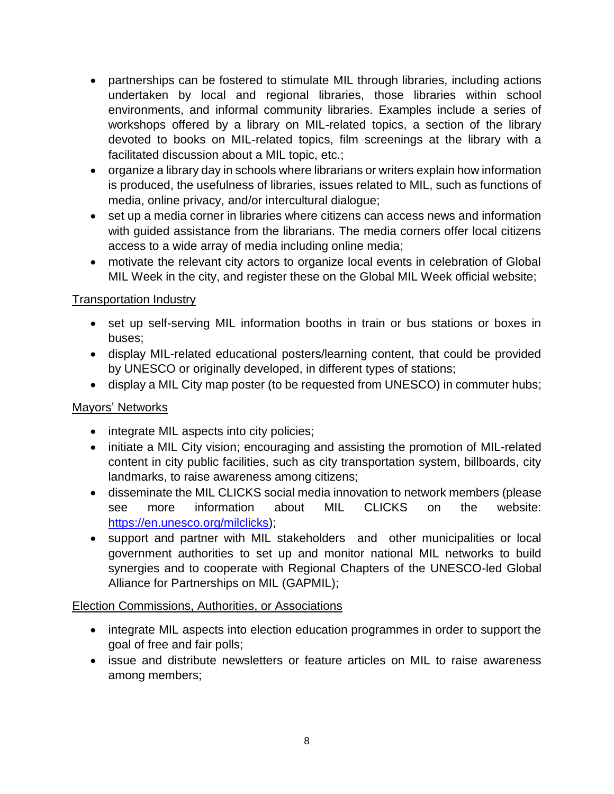- partnerships can be fostered to stimulate MIL through libraries, including actions undertaken by local and regional libraries, those libraries within school environments, and informal community libraries. Examples include a series of workshops offered by a library on MIL-related topics, a section of the library devoted to books on MIL-related topics, film screenings at the library with a facilitated discussion about a MIL topic, etc.;
- organize a library day in schools where librarians or writers explain how information is produced, the usefulness of libraries, issues related to MIL, such as functions of media, online privacy, and/or intercultural dialogue;
- set up a media corner in libraries where citizens can access news and information with guided assistance from the librarians. The media corners offer local citizens access to a wide array of media including online media;
- motivate the relevant city actors to organize local events in celebration of Global MIL Week in the city, and register these on the Global MIL Week official website;

#### Transportation Industry

- set up self-serving MIL information booths in train or bus stations or boxes in buses;
- display MIL-related educational posters/learning content, that could be provided by UNESCO or originally developed, in different types of stations;
- display a MIL City map poster (to be requested from UNESCO) in commuter hubs;

### Mayors' Networks

- integrate MIL aspects into city policies;
- initiate a MIL City vision; encouraging and assisting the promotion of MIL-related content in city public facilities, such as city transportation system, billboards, city landmarks, to raise awareness among citizens;
- disseminate the MIL CLICKS social media innovation to network members (please see more information about MIL CLICKS on the website: [https://en.unesco.org/milclicks\)](https://en.unesco.org/milclicks);
- support and partner with MIL stakeholders and other municipalities or local government authorities to set up and monitor national MIL networks to build synergies and to cooperate with Regional Chapters of the UNESCO-led Global Alliance for Partnerships on MIL (GAPMIL);

#### Election Commissions, Authorities, or Associations

- integrate MIL aspects into election education programmes in order to support the goal of free and fair polls;
- issue and distribute newsletters or feature articles on MIL to raise awareness among members;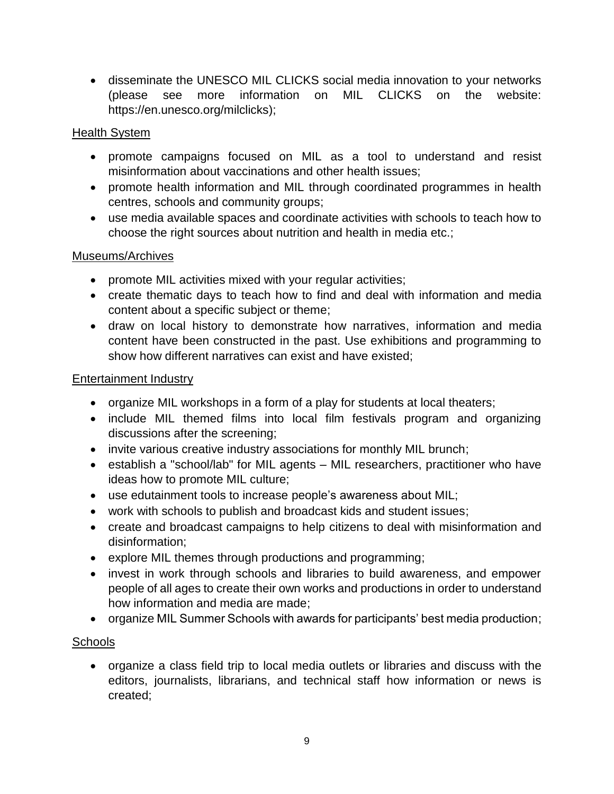disseminate the UNESCO MIL CLICKS social media innovation to your networks (please see more information on MIL CLICKS on the website: [https://en.unesco.org/milclicks\)](https://en.unesco.org/milclicks);

#### Health System

- promote campaigns focused on MIL as a tool to understand and resist misinformation about vaccinations and other health issues;
- promote health information and MIL through coordinated programmes in health centres, schools and community groups;
- use media available spaces and coordinate activities with schools to teach how to choose the right sources about nutrition and health in media etc.;

#### Museums/Archives

- promote MIL activities mixed with your regular activities;
- create thematic days to teach how to find and deal with information and media content about a specific subject or theme;
- draw on local history to demonstrate how narratives, information and media content have been constructed in the past. Use exhibitions and programming to show how different narratives can exist and have existed;

#### Entertainment Industry

- organize MIL workshops in a form of a play for students at local theaters;
- include MIL themed films into local film festivals program and organizing discussions after the screening;
- invite various creative industry associations for monthly MIL brunch;
- establish a "school/lab" for MIL agents MIL researchers, practitioner who have ideas how to promote MIL culture;
- use edutainment tools to increase people's awareness about MIL;
- work with schools to publish and broadcast kids and student issues;
- create and broadcast campaigns to help citizens to deal with misinformation and disinformation;
- explore MIL themes through productions and programming;
- invest in work through schools and libraries to build awareness, and empower people of all ages to create their own works and productions in order to understand how information and media are made;
- organize MIL Summer Schools with awards for participants' best media production;

#### **Schools**

 organize a class field trip to local media outlets or libraries and discuss with the editors, journalists, librarians, and technical staff how information or news is created;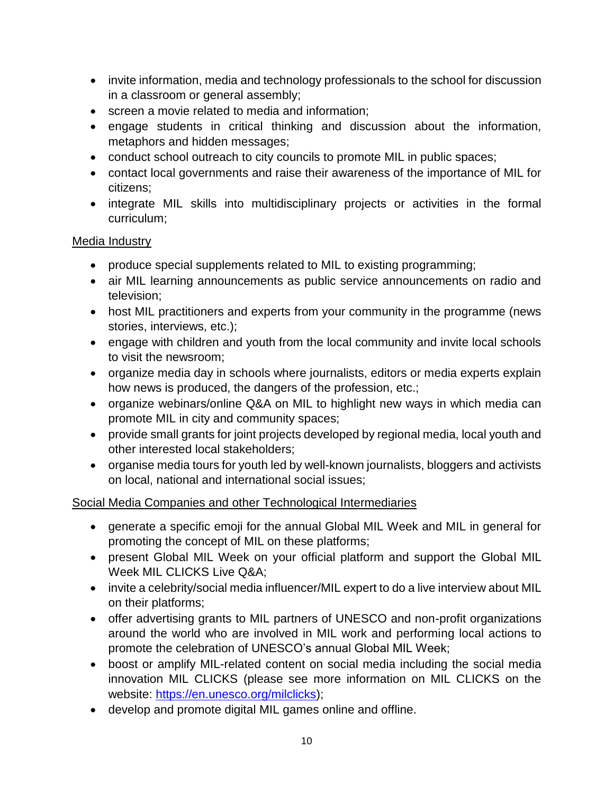- invite information, media and technology professionals to the school for discussion in a classroom or general assembly;
- screen a movie related to media and information:
- engage students in critical thinking and discussion about the information, metaphors and hidden messages;
- conduct school outreach to city councils to promote MIL in public spaces;
- contact local governments and raise their awareness of the importance of MIL for citizens;
- integrate MIL skills into multidisciplinary projects or activities in the formal curriculum;

#### Media Industry

- produce special supplements related to MIL to existing programming;
- air MIL learning announcements as public service announcements on radio and television;
- host MIL practitioners and experts from your community in the programme (news stories, interviews, etc.);
- engage with children and youth from the local community and invite local schools to visit the newsroom;
- organize media day in schools where journalists, editors or media experts explain how news is produced, the dangers of the profession, etc.;
- organize webinars/online Q&A on MIL to highlight new ways in which media can promote MIL in city and community spaces;
- provide small grants for joint projects developed by regional media, local youth and other interested local stakeholders;
- organise media tours for youth led by well-known journalists, bloggers and activists on local, national and international social issues;

#### Social Media Companies and other Technological Intermediaries

- generate a specific emoji for the annual Global MIL Week and MIL in general for promoting the concept of MIL on these platforms;
- present Global MIL Week on your official platform and support the Global MIL Week MIL CLICKS Live Q&A;
- invite a celebrity/social media influencer/MIL expert to do a live interview about MIL on their platforms;
- offer advertising grants to MIL partners of UNESCO and non-profit organizations around the world who are involved in MIL work and performing local actions to promote the celebration of UNESCO's annual Global MIL Week;
- boost or amplify MIL-related content on social media including the social media innovation MIL CLICKS (please see more information on MIL CLICKS on the website: [https://en.unesco.org/milclicks\)](https://en.unesco.org/milclicks);
- develop and promote digital MIL games online and offline.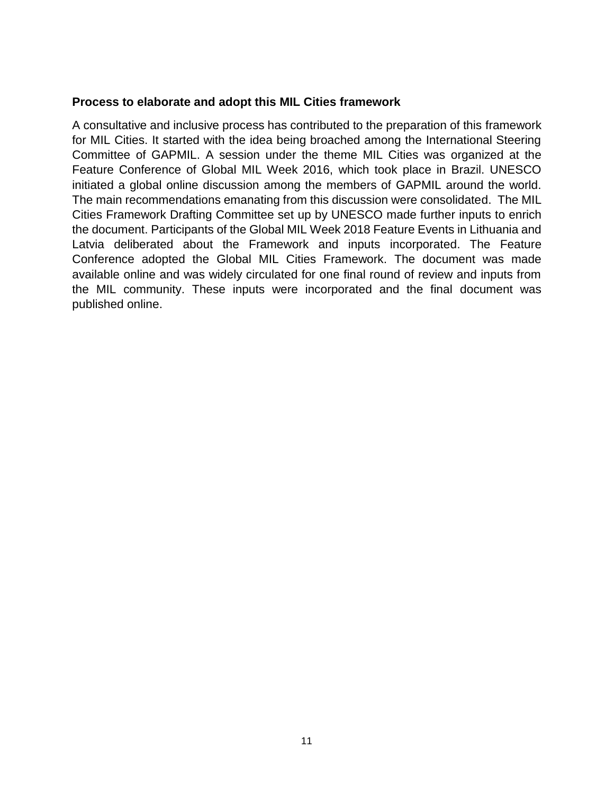#### **Process to elaborate and adopt this MIL Cities framework**

A consultative and inclusive process has contributed to the preparation of this framework for MIL Cities. It started with the idea being broached among the International Steering Committee of GAPMIL. A session under the theme MIL Cities was organized at the Feature Conference of Global MIL Week 2016, which took place in Brazil. UNESCO initiated a global online discussion among the members of GAPMIL around the world. The main recommendations emanating from this discussion were consolidated. The MIL Cities Framework Drafting Committee set up by UNESCO made further inputs to enrich the document. Participants of the Global MIL Week 2018 Feature Events in Lithuania and Latvia deliberated about the Framework and inputs incorporated. The Feature Conference adopted the Global MIL Cities Framework. The document was made available online and was widely circulated for one final round of review and inputs from the MIL community. These inputs were incorporated and the final document was published online.